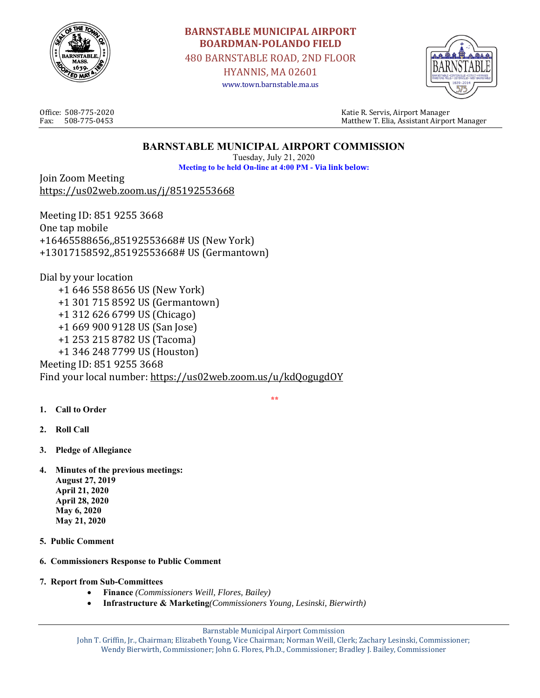

# **BARNSTABLE MUNICIPAL AIRPORT BOARDMAN‐POLANDO FIELD**

480 BARNSTABLE ROAD, 2ND FLOOR

HYANNIS, MA 02601 www.town.barnstable.ma.us



Office: 508-775-2020 Katie R. Servis, Airport Manager Fax: 508-775-0453 Matthew T. Elia, Assistant Airport Manager

## **BARNSTABLE MUNICIPAL AIRPORT COMMISSION**

Tuesday, July 21, 2020 **Meeting to be held On-line at 4:00 PM - Via link below:**

Join Zoom Meeting https://us02web.zoom.us/j/85192553668

Meeting ID: 851 9255 3668 One tap mobile +16465588656,,85192553668# US (New York) +13017158592,,85192553668# US (Germantown)

Dial by your location +1 646 558 8656 US (New York) +1 301 715 8592 US (Germantown) +1 312 626 6799 US (Chicago) +1 669 900 9128 US (San Jose) +1 253 215 8782 US (Tacoma) +1 346 248 7799 US (Houston) Meeting ID: 851 9255 3668 Find your local number: https://us02web.zoom.us/u/kdQogugdOY

- **1. Call to Order**
- **2. Roll Call**
- **3. Pledge of Allegiance**
- **4. Minutes of the previous meetings: August 27, 2019 April 21, 2020 April 28, 2020 May 6, 2020 May 21, 2020**
- **5. Public Comment**
- **6. Commissioners Response to Public Comment**
- **7. Report from Sub-Committees** 
	- **Finance** *(Commissioners Weill, Flores, Bailey)*
	- **Infrastructure & Marketing***(Commissioners Young, Lesinski, Bierwirth)*

Barnstable Municipal Airport Commission

 **\*\***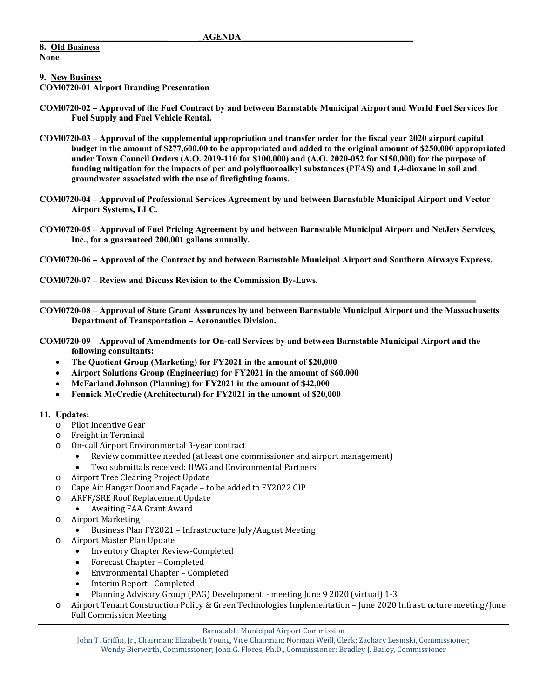#### **8. Old Business None**

**9. New Business** 

**COM0720-01 Airport Branding Presentation** 

- **COM0720-02 Approval of the Fuel Contract by and between Barnstable Municipal Airport and World Fuel Services for Fuel Supply and Fuel Vehicle Rental.**
- **COM0720-03 Approval of the supplemental appropriation and transfer order for the fiscal year 2020 airport capital budget in the amount of \$277,600.00 to be appropriated and added to the original amount of \$250,000 appropriated under Town Council Orders (A.O. 2019-110 for \$100,000) and (A.O. 2020-052 for \$150,000) for the purpose of funding mitigation for the impacts of per and polyfluoroalkyl substances (PFAS) and 1,4‐dioxane in soil and groundwater associated with the use of firefighting foams.**
- **COM0720-04 Approval of Professional Services Agreement by and between Barnstable Municipal Airport and Vector Airport Systems, LLC.**
- **COM0720-05 Approval of Fuel Pricing Agreement by and between Barnstable Municipal Airport and NetJets Services, Inc., for a guaranteed 200,001 gallons annually.**
- **COM0720-06 Approval of the Contract by and between Barnstable Municipal Airport and Southern Airways Express.**
- **COM0720-07 Review and Discuss Revision to the Commission By-Laws.**

**COM0720-08 – Approval of State Grant Assurances by and between Barnstable Municipal Airport and the Massachusetts Department of Transportation – Aeronautics Division.** 

**COM0720-09 – Approval of Amendments for On-call Services by and between Barnstable Municipal Airport and the following consultants:** 

- **The Quotient Group (Marketing) for FY2021 in the amount of \$20,000**
- **Airport Solutions Group (Engineering) for FY2021 in the amount of \$60,000**
- **McFarland Johnson (Planning) for FY2021 in the amount of \$42,000**
- **Fennick McCredie (Architectural) for FY2021 in the amount of \$20,000**

#### **11. Updates:**

- o Pilot Incentive Gear
- o Freight in Terminal
- o On-call Airport Environmental 3-year contract
	- Review committee needed (at least one commissioner and airport management)
	- Two submittals received: HWG and Environmental Partners
- o Airport Tree Clearing Project Update
- o Cape Air Hangar Door and Façade to be added to FY2022 CIP
- o ARFF/SRE Roof Replacement Update
	- Awaiting FAA Grant Award
- o Airport Marketing
	- Business Plan FY2021 Infrastructure July/August Meeting
- o Airport Master Plan Update
	- Inventory Chapter Review-Completed
	- Forecast Chapter Completed
	- Environmental Chapter Completed
	- Interim Report Completed
	- Planning Advisory Group (PAG) Development meeting June 9 2020 (virtual) 1-3
- Airport Tenant Construction Policy & Green Technologies Implementation June 2020 Infrastructure meeting/June Full Commission Meeting

Barnstable Municipal Airport Commission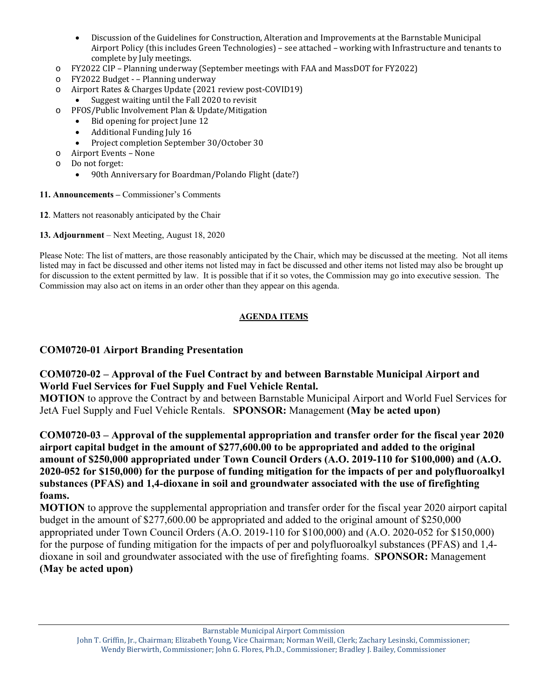- Discussion of the Guidelines for Construction, Alteration and Improvements at the Barnstable Municipal Airport Policy (this includes Green Technologies) – see attached – working with Infrastructure and tenants to complete by July meetings.
- o FY2022 CIP Planning underway (September meetings with FAA and MassDOT for FY2022)
- o FY2022 Budget – Planning underway
- o Airport Rates & Charges Update (2021 review post-COVID19)
	- Suggest waiting until the Fall 2020 to revisit
- o PFOS/Public Involvement Plan & Update/Mitigation
	- Bid opening for project June 12
	- Additional Funding July 16
	- Project completion September 30/October 30
- o Airport Events None
- o Do not forget:
	- 90th Anniversary for Boardman/Polando Flight (date?)
- **11. Announcements** Commissioner's Comments
- **12**. Matters not reasonably anticipated by the Chair
- **13. Adjournment** Next Meeting, August 18, 2020

Please Note: The list of matters, are those reasonably anticipated by the Chair, which may be discussed at the meeting. Not all items listed may in fact be discussed and other items not listed may in fact be discussed and other items not listed may also be brought up for discussion to the extent permitted by law. It is possible that if it so votes, the Commission may go into executive session. The Commission may also act on items in an order other than they appear on this agenda.

#### **AGENDA ITEMS**

### **COM0720-01 Airport Branding Presentation**

## **COM0720-02 – Approval of the Fuel Contract by and between Barnstable Municipal Airport and World Fuel Services for Fuel Supply and Fuel Vehicle Rental.**

**MOTION** to approve the Contract by and between Barnstable Municipal Airport and World Fuel Services for JetA Fuel Supply and Fuel Vehicle Rentals. **SPONSOR:** Management **(May be acted upon)** 

**COM0720-03 – Approval of the supplemental appropriation and transfer order for the fiscal year 2020 airport capital budget in the amount of \$277,600.00 to be appropriated and added to the original amount of \$250,000 appropriated under Town Council Orders (A.O. 2019-110 for \$100,000) and (A.O. 2020-052 for \$150,000) for the purpose of funding mitigation for the impacts of per and polyfluoroalkyl substances (PFAS) and 1,4‐dioxane in soil and groundwater associated with the use of firefighting foams.** 

**MOTION** to approve the supplemental appropriation and transfer order for the fiscal year 2020 airport capital budget in the amount of \$277,600.00 be appropriated and added to the original amount of \$250,000 appropriated under Town Council Orders (A.O. 2019-110 for \$100,000) and (A.O. 2020-052 for \$150,000) for the purpose of funding mitigation for the impacts of per and polyfluoroalkyl substances (PFAS) and 1,4‐ dioxane in soil and groundwater associated with the use of firefighting foams. **SPONSOR:** Management **(May be acted upon)** 

Barnstable Municipal Airport Commission